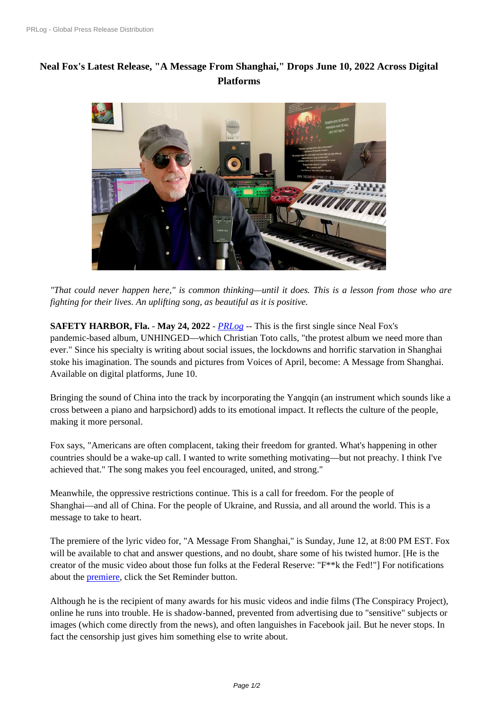## **[Neal Fox](https://www.prlog.org/)'[s Latest Release,](https://www.prlog.org/) "A Message From Shanghai," Drops June 10, 2022 Across Digital Platforms**



*"That coul[d never happen here," is common thinking—until it does. This is a lesson fro](https://www.prlog.org/12918499-studio-time.jpg)m those who are fighting for their lives. An uplifting song, as beautiful as it is positive.*

**SAFETY HARBOR, Fla.** - **May 24, 2022** - *PRLog* -- This is the first single since Neal Fox's pandemic-based album, UNHINGED—which Christian Toto calls, "the protest album we need more than ever." Since his specialty is writing about social issues, the lockdowns and horrific starvation in Shanghai stoke his imagination. The sounds and pictur[es from](https://www.prlog.org) Voices of April, become: A Message from Shanghai. Available on digital platforms, June 10.

Bringing the sound of China into the track by incorporating the Yangqin (an instrument which sounds like a cross between a piano and harpsichord) adds to its emotional impact. It reflects the culture of the people, making it more personal.

Fox says, "Americans are often complacent, taking their freedom for granted. What's happening in other countries should be a wake-up call. I wanted to write something motivating—but not preachy. I think I've achieved that." The song makes you feel encouraged, united, and strong."

Meanwhile, the oppressive restrictions continue. This is a call for freedom. For the people of Shanghai—and all of China. For the people of Ukraine, and Russia, and all around the world. This is a message to take to heart.

The premiere of the lyric video for, "A Message From Shanghai," is Sunday, June 12, at 8:00 PM EST. Fox will be available to chat and answer questions, and no doubt, share some of his twisted humor. [He is the creator of the music video about those fun folks at the Federal Reserve: "F\*\*k the Fed!"] For notifications about the premiere, click the Set Reminder button.

Although he is the recipient of many awards for his music videos and indie films (The Conspiracy Project), online he [runs into](https://www.youtube.com/watch?v=4s6XhEfy4Kg) trouble. He is shadow-banned, prevented from advertising due to "sensitive" subjects or images (which come directly from the news), and often languishes in Facebook jail. But he never stops. In fact the censorship just gives him something else to write about.